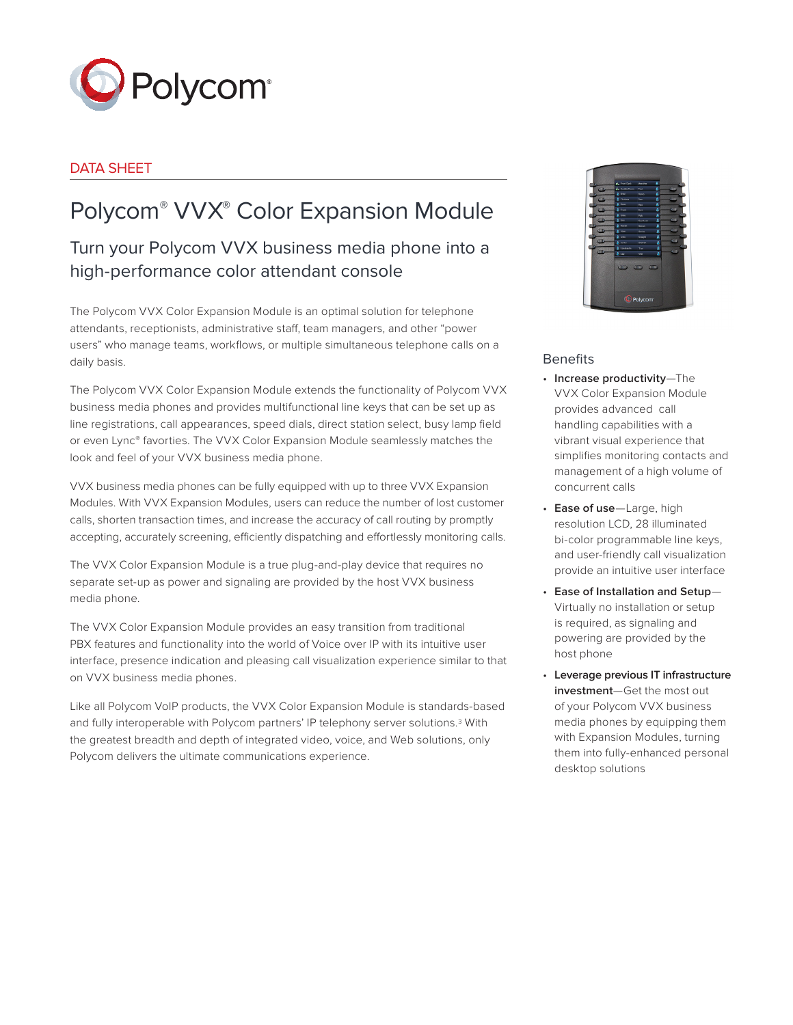

# DATA SHEET

# Polycom® VVX® Color Expansion Module

# Turn your Polycom VVX business media phone into a high-performance color attendant console

The Polycom VVX Color Expansion Module is an optimal solution for telephone attendants, receptionists, administrative staff, team managers, and other "power users" who manage teams, workflows, or multiple simultaneous telephone calls on a daily basis.

The Polycom VVX Color Expansion Module extends the functionality of Polycom VVX business media phones and provides multifunctional line keys that can be set up as line registrations, call appearances, speed dials, direct station select, busy lamp field or even Lync® favorties. The VVX Color Expansion Module seamlessly matches the look and feel of your VVX business media phone.

VVX business media phones can be fully equipped with up to three VVX Expansion Modules. With VVX Expansion Modules, users can reduce the number of lost customer calls, shorten transaction times, and increase the accuracy of call routing by promptly accepting, accurately screening, efficiently dispatching and effortlessly monitoring calls.

The VVX Color Expansion Module is a true plug-and-play device that requires no separate set-up as power and signaling are provided by the host VVX business media phone.

The VVX Color Expansion Module provides an easy transition from traditional PBX features and functionality into the world of Voice over IP with its intuitive user interface, presence indication and pleasing call visualization experience similar to that on VVX business media phones.

Like all Polycom VoIP products, the VVX Color Expansion Module is standards-based and fully interoperable with Polycom partners' IP telephony server solutions.3 With the greatest breadth and depth of integrated video, voice, and Web solutions, only Polycom delivers the ultimate communications experience.



## Benefits

- **Increase productivity**—The VVX Color Expansion Module provides advanced call handling capabilities with a vibrant visual experience that simplifies monitoring contacts and management of a high volume of concurrent calls
- **Ease of use**—Large, high resolution LCD, 28 illuminated bi-color programmable line keys, and user-friendly call visualization provide an intuitive user interface
- **Ease of Installation and Setup** Virtually no installation or setup is required, as signaling and powering are provided by the host phone
- **Leverage previous IT infrastructure investment**—Get the most out of your Polycom VVX business media phones by equipping them with Expansion Modules, turning them into fully-enhanced personal desktop solutions